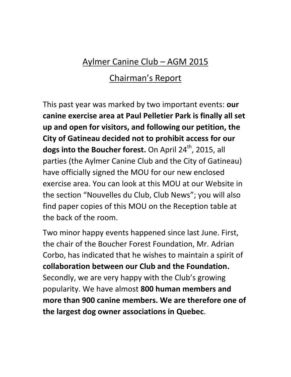## Aylmer Canine Club – AGM 2015

## Chairman's Report

This past year was marked by two important events: **our canine exercise area at Paul Pelletier Park is finally all set up and open for visitors, and following our petition, the City of Gatineau decided not to prohibit access for our dogs into the Boucher forest.** On April 24<sup>th</sup>, 2015, all parties (the Aylmer Canine Club and the City of Gatineau) have officially signed the MOU for our new enclosed exercise area. You can look at this MOU at our Website in the section "Nouvelles du Club, Club News"; you will also find paper copies of this MOU on the Reception table at the back of the room.

Two minor happy events happened since last June. First, the chair of the Boucher Forest Foundation, Mr. Adrian Corbo, has indicated that he wishes to maintain a spirit of **collaboration between our Club and the Foundation.** Secondly, we are very happy with the Club's growing popularity. We have almost **800 human members and more than 900 canine members. We are therefore one of the largest dog owner associations in Quebec**.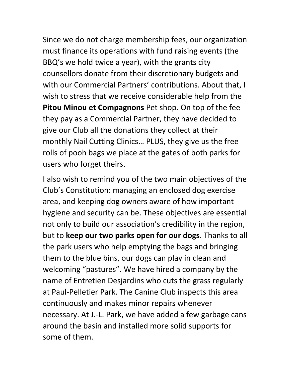Since we do not charge membership fees, our organization must finance its operations with fund raising events (the BBQ's we hold twice a year), with the grants city counsellors donate from their discretionary budgets and with our Commercial Partners' contributions. About that, I wish to stress that we receive considerable help from the **Pitou Minou et Compagnons** Pet shop**.** On top of the fee they pay as a Commercial Partner, they have decided to give our Club all the donations they collect at their monthly Nail Cutting Clinics… PLUS, they give us the free rolls of pooh bags we place at the gates of both parks for users who forget theirs.

I also wish to remind you of the two main objectives of the Club's Constitution: managing an enclosed dog exercise area, and keeping dog owners aware of how important hygiene and security can be. These objectives are essential not only to build our association's credibility in the region, but to **keep our two parks open for our dogs**. Thanks to all the park users who help emptying the bags and bringing them to the blue bins, our dogs can play in clean and welcoming "pastures". We have hired a company by the name of Entretien Desjardins who cuts the grass regularly at Paul-Pelletier Park. The Canine Club inspects this area continuously and makes minor repairs whenever necessary. At J.-L. Park, we have added a few garbage cans around the basin and installed more solid supports for some of them.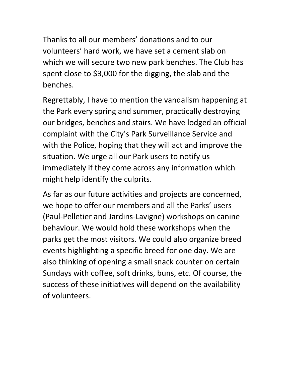Thanks to all our members' donations and to our volunteers' hard work, we have set a cement slab on which we will secure two new park benches. The Club has spent close to \$3,000 for the digging, the slab and the benches.

Regrettably, I have to mention the vandalism happening at the Park every spring and summer, practically destroying our bridges, benches and stairs. We have lodged an official complaint with the City's Park Surveillance Service and with the Police, hoping that they will act and improve the situation. We urge all our Park users to notify us immediately if they come across any information which might help identify the culprits.

As far as our future activities and projects are concerned, we hope to offer our members and all the Parks' users (Paul-Pelletier and Jardins-Lavigne) workshops on canine behaviour. We would hold these workshops when the parks get the most visitors. We could also organize breed events highlighting a specific breed for one day. We are also thinking of opening a small snack counter on certain Sundays with coffee, soft drinks, buns, etc. Of course, the success of these initiatives will depend on the availability of volunteers.